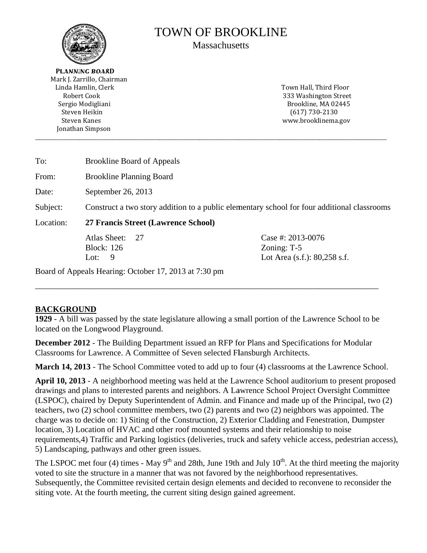

# **TOWN OF BROOKLINE**

**Massachusetts** 

**PLANNING BOARD** Mark I. Zarrillo, Chairman Linda Hamlin, Clerk Robert Cook Sergio Modigliani Steven Heikin **Steven Kanes** Jonathan Simpson

Town Hall, Third Floor 333 Washington Street Brookline, MA 02445  $(617)$  730-2130 www.brooklinema.gov

| To:       | <b>Brookline Board of Appeals</b>                                                           |                                                                       |  |  |  |
|-----------|---------------------------------------------------------------------------------------------|-----------------------------------------------------------------------|--|--|--|
| From:     | <b>Brookline Planning Board</b>                                                             |                                                                       |  |  |  |
| Date:     | September 26, 2013                                                                          |                                                                       |  |  |  |
| Subject:  | Construct a two story addition to a public elementary school for four additional classrooms |                                                                       |  |  |  |
| Location: | 27 Francis Street (Lawrence School)                                                         |                                                                       |  |  |  |
|           | Atlas Sheet:<br>27<br><b>Block: 126</b><br>9<br>Lot:                                        | Case #: 2013-0076<br>Zoning: $T-5$<br>Lot Area $(s.f.)$ : 80,258 s.f. |  |  |  |
|           | Board of Appeals Hearing: October 17, 2013 at 7:30 pm                                       |                                                                       |  |  |  |

# **BACKGROUND**

1929 - A bill was passed by the state legislature allowing a small portion of the Lawrence School to be located on the Longwood Playground.

**December 2012** - The Building Department issued an RFP for Plans and Specifications for Modular Classrooms for Lawrence. A Committee of Seven selected Flansburgh Architects.

**March 14, 2013** - The School Committee voted to add up to four (4) classrooms at the Lawrence School.

April 10, 2013 - A neighborhood meeting was held at the Lawrence School auditorium to present proposed drawings and plans to interested parents and neighbors. A Lawrence School Project Oversight Committee (LSPOC), chaired by Deputy Superintendent of Admin. and Finance and made up of the Principal, two (2) teachers, two  $(2)$  school committee members, two  $(2)$  parents and two  $(2)$  neighbors was appointed. The charge was to decide on: 1) Siting of the Construction, 2) Exterior Cladding and Fenestration, Dumpster location, 3) Location of HVAC and other roof mounted systems and their relationship to noise requirements, 4) Traffic and Parking logistics (deliveries, truck and safety vehicle access, pedestrian access), 5) Landscaping, pathways and other green issues.

The LSPOC met four (4) times - May  $9<sup>th</sup>$  and 28th, June 19th and July  $10<sup>th</sup>$ . At the third meeting the majority voted to site the structure in a manner that was not favored by the neighborhood representatives. Subsequently, the Committee revisited certain design elements and decided to reconvene to reconsider the siting vote. At the fourth meeting, the current siting design gained agreement.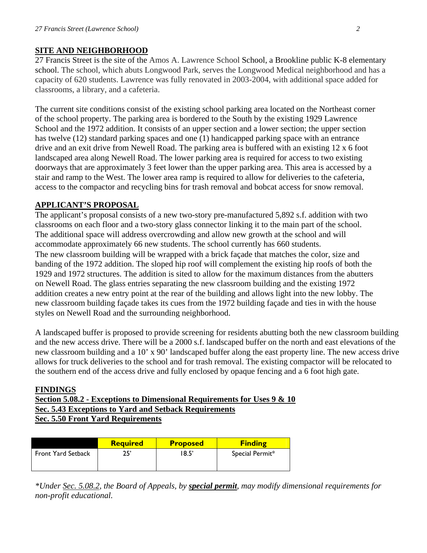## **SITE AND NEIGHBORHOOD**

27 Francis Street is the site of the Amos A. Lawrence School School, a Brookline public K-8 elementary school. The school, which abuts Longwood Park, serves the Longwood Medical neighborhood and has a capacity of 620 students. Lawrence was fully renovated in 2003-2004, with additional space added for classrooms, a library, and a cafeteria.

The current site conditions consist of the existing school parking area located on the Northeast corner of the school property. The parking area is bordered to the South by the existing 1929 Lawrence School and the 1972 addition. It consists of an upper section and a lower section; the upper section has twelve (12) standard parking spaces and one (1) handicapped parking space with an entrance drive and an exit drive from Newell Road. The parking area is buffered with an existing 12 x 6 foot landscaped area along Newell Road. The lower parking area is required for access to two existing doorways that are approximately 3 feet lower than the upper parking area. This area is accessed by a stair and ramp to the West. The lower area ramp is required to allow for deliveries to the cafeteria, access to the compactor and recycling bins for trash removal and bobcat access for snow removal.

## **APPLICANT'S PROPOSAL**

The applicant's proposal consists of a new two-story pre-manufactured 5,892 s.f. addition with two classrooms on each floor and a two-story glass connector linking it to the main part of the school. The additional space will address overcrowding and allow new growth at the school and will accommodate approximately 66 new students. The school currently has 660 students. The new classroom building will be wrapped with a brick façade that matches the color, size and banding of the 1972 addition. The sloped hip roof will complement the existing hip roofs of both the 1929 and 1972 structures. The addition is sited to allow for the maximum distances from the abutters on Newell Road. The glass entries separating the new classroom building and the existing 1972 addition creates a new entry point at the rear of the building and allows light into the new lobby. The new classroom building façade takes its cues from the 1972 building façade and ties in with the house styles on Newell Road and the surrounding neighborhood.

A landscaped buffer is proposed to provide screening for residents abutting both the new classroom building and the new access drive. There will be a 2000 s.f. landscaped buffer on the north and east elevations of the new classroom building and a 10' x 90' landscaped buffer along the east property line. The new access drive allows for truck deliveries to the school and for trash removal. The existing compactor will be relocated to the southern end of the access drive and fully enclosed by opaque fencing and a 6 foot high gate.

#### **FINDINGS**

**Section 5.08.2 - Exceptions to Dimensional Requirements for Uses 9 & 10 Sec. 5.43 Exceptions to Yard and Setback Requirements Sec. 5.50 Front Yard Requirements** 

|                           | <b>Required</b> | <b>Proposed</b> | <b>Finding</b>  |
|---------------------------|-----------------|-----------------|-----------------|
| <b>Front Yard Setback</b> | 25'             | 18.5'           | Special Permit* |

*\*Under Sec. 5.08.2, the Board of Appeals, by special permit, may modify dimensional requirements for non-profit educational.*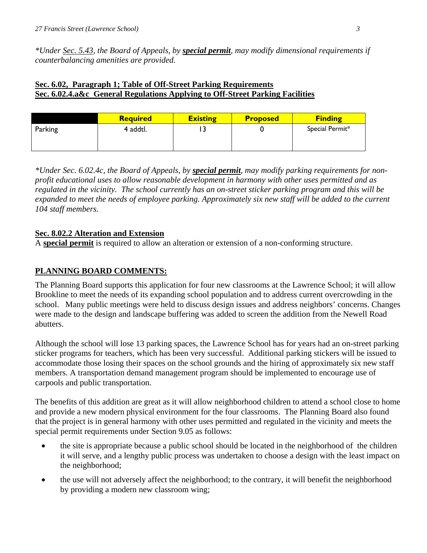*\*Under Sec. 5.43, the Board of Appeals, by special permit, may modify dimensional requirements if counterbalancing amenities are provided.* 

# **Sec. 6.02, Paragraph 1; Table of Off-Street Parking Requirements Sec. 6.02.4.a&c General Regulations Applying to Off-Street Parking Facilities**

|         | <b>Required</b> | <b>Existing</b> | <b>Proposed</b> | <b>Finding</b>  |
|---------|-----------------|-----------------|-----------------|-----------------|
| Parking | 4 addtl.        | ر ،             |                 | Special Permit* |

*\*Under Sec. 6.02.4c, the Board of Appeals, by special permit, may modify parking requirements for nonprofit educational uses to allow reasonable development in harmony with other uses permitted and as regulated in the vicinity. The school currently has an on-street sticker parking program and this will be expanded to meet the needs of employee parking. Approximately six new staff will be added to the current 104 staff members.* 

## **Sec. 8.02.2 Alteration and Extension**

A **special permit** is required to allow an alteration or extension of a non-conforming structure.

## **PLANNING BOARD COMMENTS:**

The Planning Board supports this application for four new classrooms at the Lawrence School; it will allow Brookline to meet the needs of its expanding school population and to address current overcrowding in the school. Many public meetings were held to discuss design issues and address neighbors' concerns. Changes were made to the design and landscape buffering was added to screen the addition from the Newell Road abutters.

Although the school will lose 13 parking spaces, the Lawrence School has for years had an on-street parking sticker programs for teachers, which has been very successful. Additional parking stickers will be issued to accommodate those losing their spaces on the school grounds and the hiring of approximately six new staff members. A transportation demand management program should be implemented to encourage use of carpools and public transportation.

The benefits of this addition are great as it will allow neighborhood children to attend a school close to home and provide a new modern physical environment for the four classrooms. The Planning Board also found that the project is in general harmony with other uses permitted and regulated in the vicinity and meets the special permit requirements under Section 9.05 as follows:

- the site is appropriate because a public school should be located in the neighborhood of the children it will serve, and a lengthy public process was undertaken to choose a design with the least impact on the neighborhood;
- the use will not adversely affect the neighborhood; to the contrary, it will benefit the neighborhood by providing a modern new classroom wing;